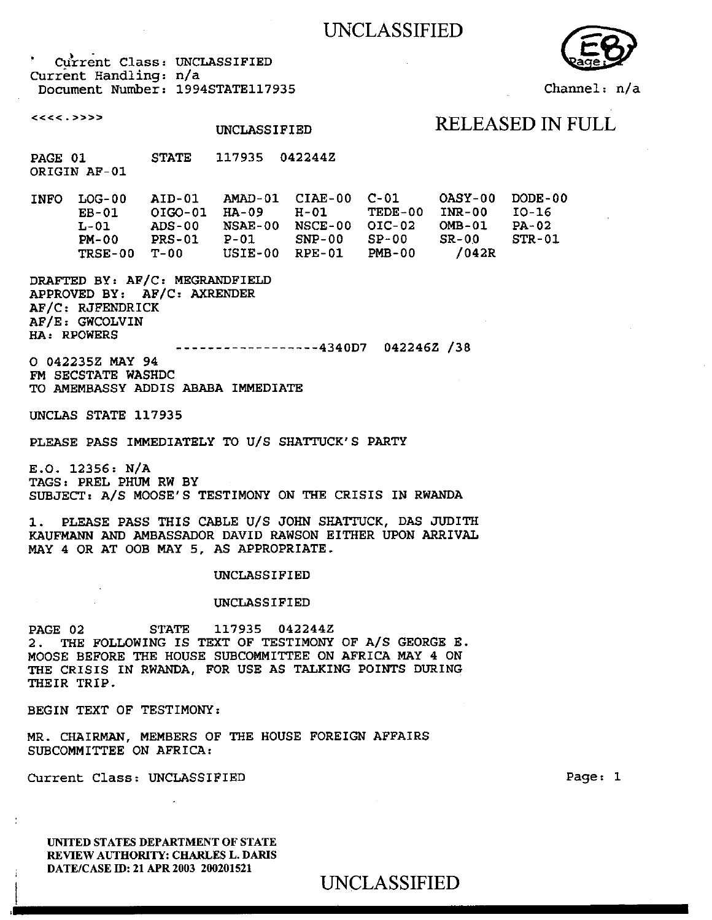## UNCLASSIFIED

Current Class: UNCLASSIFIED Current Handling: n/a Document Number: 1994STATE117935

 $<<<.>>>$ 

# UNCLASSIFIED RELEASED IN FULL

PAGE 01 STATE 117935 042244Z ORIGIN AF-01

INFO LOG-00 AID-01 AMAD-01 CIAE-00 C-01 OASY-00 DODE-00 EB-01 OIG0-01 HA-09 H-01 TEDE-QO INR-00 10-16 L-01 ADS-00 NSAE-00 NSCE-00 01C-02 OMB-01 PA-02 PM-00 PRS-01 P-01 SNP-00 SP-00 SR-00 STR-01 TRSE-00 T-00 USIE-00 RPE-01 PMB-00 **/042R** 

**DRAFTED BY: AF/C: MEGRANDFIELD APPROVED BY: AF/C: AXRENDER AF/C: RJFENDRICK AF/E: GWCOLVIN HA: RPOWERS** 

4340D7 042246Z /38

**O 042235Z MAY 94**  FM SECSTATE WASHDC TO AMEMBASSY ADDIS ABABA IMMEDIATE

UNCLAS STATE 117935

PLEASE PASS IMMEDIATELY TO U/S SHATTUCK'S PARTY

E.O. **12356: N/A TAGS: PREL PHUM RW BY SUBJECT: A/S MOOSE'S TESTIMONY ON THE CRISIS IN RWANDA** 

**1. PLEASE PASS THIS CABLE U/S JOHN SHATTUCK, DAS JUDITH KAUFMANN AND AMBASSADOR DAVID RAWSON EITHER UPON ARRIVAL MAY 4 OR** AT 00B MAY 5, AS APPROPRIATE.

### **UNCLASSIFIED**

### **UNCLASSIFIED**

**PAGE 02 STATE 117935 042244Z 2. THE FOLLOWING IS TEXT OF TESTIMONY OF A/S GEORGE** E. MOOSE BEFORE THE HOUSE SUBCOMMITTEE ON AFRICA MAY 4 ON THE CRISIS IN RWANDA, FOR USE AS TALKING POINTS DURING THEIR TRIP.

BEGIN TEXT OF **TESTIMONY:** 

MR. CHAIRMAN, MEMBERS OF THE HOUSE FOREIGN AFFAIRS SUBCOMMITTEE ON AFRICA:

Current Class: UNCLASSIFIED Page: 1

UNITED STATES DEPARTMENT OF STATE REVIEW AUTHORITY: CHARLES L. DARIS DATE/CASE ID: 21 APR 2003 200201521

UNCLASSIFIED



Channel: n/a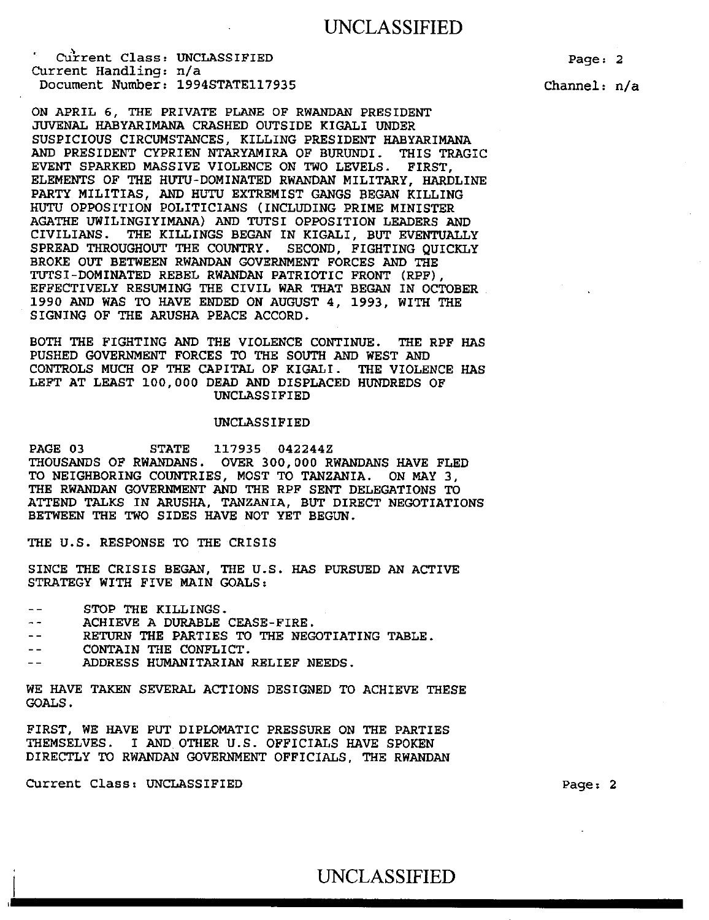## UNCLASSIFIED

Current Class: UNCLASSIFIED Current Handling: n/a Document Number: 1994STATE117935

ON APRIL 6, THE PRIVATE PLANE OF RWANDAN PRESIDENT JUVENAL HABYARIMANA CRASHED OUTSIDE KIGALI UNDER SUSPICIOUS CIRCUMSTANCES, KILLING PRESIDENT HABYARIMANA AND PRESIDENT CYPRIEN NTARYAMIRA OF BURUNDI. THIS TRAGIC EVENT SPARKED MASSIVE VIOLENCE ON TWO LEVELS. FIRST, ELEMENTS OF THE HUTU-DOMINATED RWANDAN MILITARY, HARDLINE PARTY MILITIAS, AND HUTU EXTREMIST GANGS BEGAN KILLING HUTU OPPOSITION POLITICIANS (INCLUDING PRIME MINISTER AGATHE UWILINGIYIMANA) AND TUTSI OPPOSITION LEADERS AND CIVILIANS. THE KILLINGS BEGAN IN KIGALI, BUT EVENTUALLY SPREAD THROUGHOUT THE COUNTRY. SECOND, FIGHTING QUICKLY BROKE OUT BETWEEN RWANDAN GOVERNMENT FORCES AND THE TUTSI-DOMINATED REBEL RWANDAN PATRIOTIC FRONT (RPF), EFFECTIVELY RESUMING THE CIVIL WAR THAT BEGAN IN OCTOBER 1990 AND WAS TO HAVE ENDED ON AUGUST 4, 1993, WITH THE SIGNING OF THE ARUSHA PEACE ACCORD.

BOTH THE FIGHTING AND THE VIOLENCE CONTINUE. THE RPF HAS PUSHED GOVERNMENT FORCES TO THE SOUTH AND WEST AND CONTROLS MUCH OF THE CAPITAL OF KIGALI. THE VIOLENCE HAS LEFT AT LEAST 100,000 DEAD AND DISPLACED HUNDREDS OF UNCLASSIFIED

#### UNCLASSIFIED

PAGE 03 STATE 117935 042244Z THOUSANDS OF RWANDANS. OVER 300,000 RWANDANS HAVE FLED TO NEIGHBORING COUNTRIES, MOST TO TANZANIA. ON MAY 3, THE RWANDAN GOVERNMENT AND THE RPF SENT DELEGATIONS TO ATTEND TALKS IN ARUSHA, TANZANIA, BUT DIRECT NEGOTIATIONS BETWEEN THE TWO SIDES HAVE NOT YET BEGUN.

THE U.S. RESPONSE TO THE CRISIS

SINCE THE CRISIS BEGAN, THE U.S. HAS PURSUED AN ACTIVE STRATEGY WITH FIVE MAIN GOALS:

- STOP THE KILLINGS.  $-$
- ACHIEVE A DURABLE CEASE-FIRE.  $- -$
- RETURN THE PARTIES TO THE NEGOTIATING TABLE.
- CONTAIN THE CONFLICT.  $-$
- ADDRESS HUMANITARIAN RELIEF NEEDS.

WE HAVE TAKEN SEVERAL ACTIONS DESIGNED TO ACHIEVE THESE GOALS.

FIRST, WE HAVE PUT DIPLOMATIC PRESSURE ON THE PARTIES THEMSELVES. I AND OTHER U.S. OFFICIALS HAVE SPOKEN DIRECTLY TO RWANDAN GOVERNMENT OFFICIALS, THE RWANDAN

Current Class: UNCLASSIFIED Page: 2

Channel: n/a

Page: 2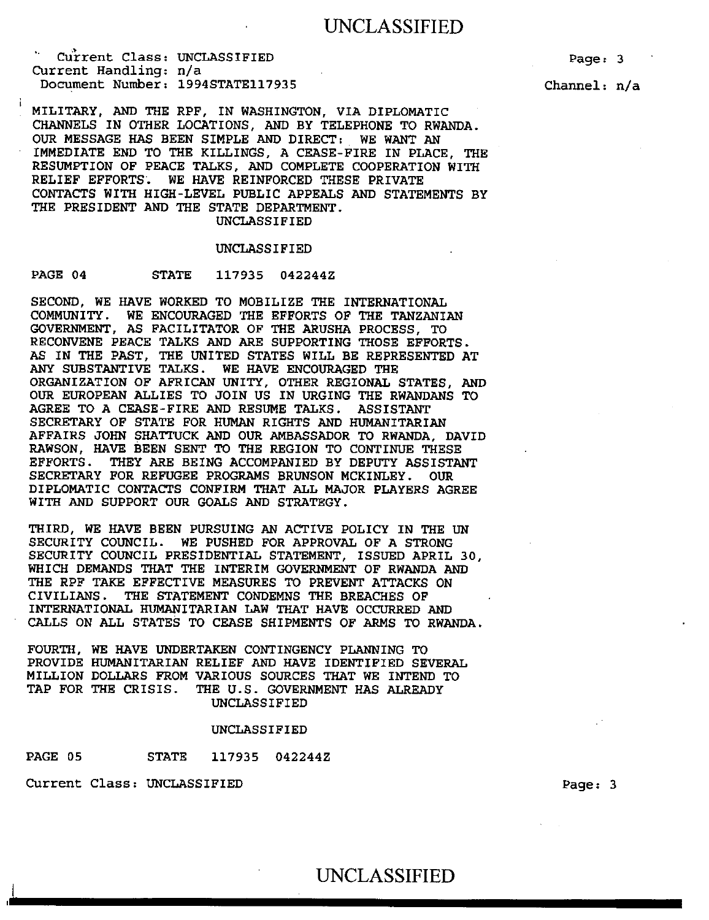## UNCLASSIFIED

Curent Class: UNCLASSIFIED Current Handling: n/a Document Number: 1994STATE117935

Channel: n/a

MILITARY, AND THE RPF, IN WASHINGTON, VIA DIPLOMATIC CHANNELS IN OTHER LOCATIONS, AND BY TELEPHONE TO RWANDA. OUR MESSAGE HAS BEEN SIMPLE AND DIRECT: WE WANT AN IMMEDIATE END TO THE KILLINGS, A CEASE-FIRE IN PLACE, THE RESUMPTION OF PEACE TALKS, AND COMPLETE COOPERATION WITH RELIEF EFFORTS. WE HAVE REINFORCED THESE PRIVATE CONTACTS WITH HIGH-LEVEL PUBLIC APPEALS AND STATEMENTS BY THE PRESIDENT AND THE STATE DEPARTMENT. UNCLASSIFIED

#### UNCLASSIFIED

### PAGE 04 STATE 117935 042244Z

SECOND, WE HAVE WORKED TO MOBILIZE THE INTERNATIONAL COMMUNITY. WE ENCOURAGED THE EFFORTS OF THE TANZANIAN GOVERNMENT, AS FACILITATOR OF THE ARUSHA PROCESS, TO RECONVENE PEACE TALKS AND ARE SUPPORTING THOSE EFFORTS. AS IN THE PAST, THE UNITED STATES WILL BE REPRESENTED AT ANY SUBSTANTIVE TALKS. WE HAVE ENCOURAGED THE ORGANIZATION OF AFRICAN UNITY, OTHER REGIONAL STATES, AND OUR EUROPEAN ALLIES TO JOIN US IN URGING THE RWANDANS TO AGREE TO A CEASE-FIRE AND RESUME TALKS. ASSISTANT SECRETARY OF STATE FOR HUMAN RIGHTS AND HUMANITARIAN AFFAIRS JOHN SHATTUCK AND OUR AMBASSADOR TO RWANDA, DAVID RAWSON, HAVE BEEN SENT TO THE REGION TO CONTINUE THESE EFFORTS. THEY ARE BEING ACCOMPANIED BY DEPUTY ASSISTANT SECRETARY FOR REFUGEE PROGRAMS BRUNSON MCKINLEY. OUR DIPLOMATIC CONTACTS CONFIRM THAT ALL MAJOR PLAYERS AGREE WITH AND SUPPORT OUR GOALS AND STRATEGY.

THIRD, WE HAVE BEEN PURSUING AN ACTIVE POLICY IN THE UN SECURITY COUNCIL. WE PUSHED FOR APPROVAL OF A STRONG SECURITY COUNCIL PRESIDENTIAL STATEMENT, ISSUED APRIL 30, WHICH DEMANDS THAT THE INTERIM GOVERNMENT OF RWANDA AND THE RPF TAKE EFFECTIVE MEASURES TO PREVENT ATTACKS ON CIVILIANS. THE STATEMENT CONDEMNS THE BREACHES OF INTERNATIONAL HUMANITARIAN LAW THAT HAVE OCCURRED AND CALLS ON ALL STATES TO CEASE SHIPMENTS OF ARMS TO RWANDA.

FOURTH, WE HAVE UNDERTAKEN CONTINGENCY PLANNING TO PROVIDE HUMANITARIAN RELIEF AND HAVE IDENTIFIED SEVERAL MILLION DOLLARS FROM VARIOUS SOURCES THAT WE INTEND TO TAP FOR THE CRISIS. THE U.S. GOVERNMENT HAS ALREADY UNCLASSIFIED

#### UNCLASSIFIED

PAGE 05 STATE 117935 042244Z

Current Class: UNCLASSIFIED Page: 3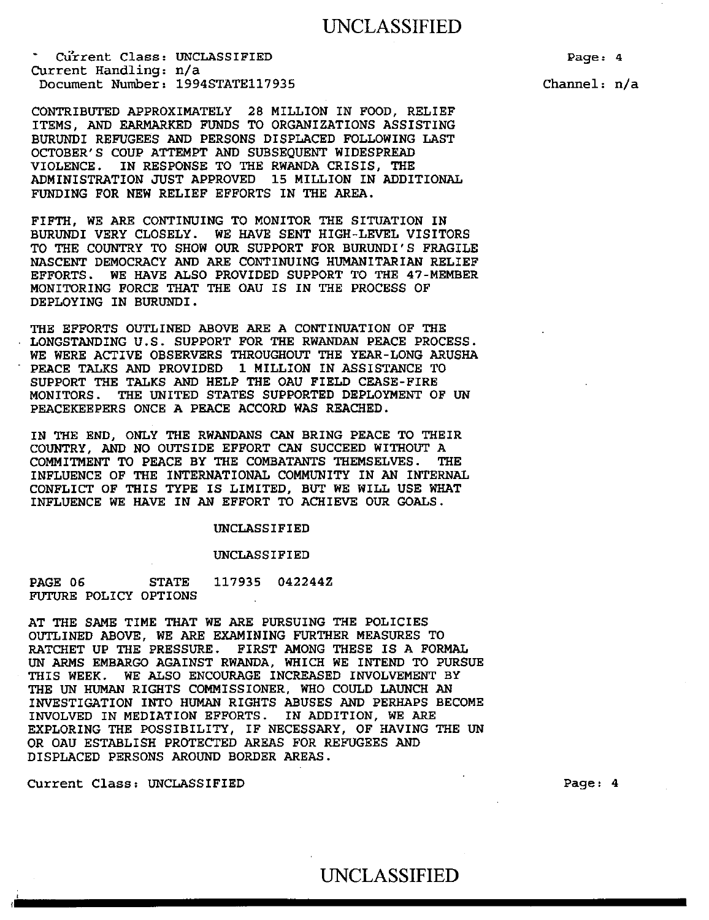CU'rrent Class: UNCLASSIFIED Current Handling: n/a Document Number: 1994STATE117935

CONTRIBUTED APPROXIMATELY 28 MILLION IN FOOD, RELIEF ITEMS, AND EARMARKED FUNDS TO ORGANIZATIONS ASSISTING BURUNDI REFUGEES AND PERSONS DISPLACED FOLLOWING LAST OCTOBER'S COUP ATTEMPT AND SUBSEQUENT WIDESPREAD VIOLENCE. IN RESPONSE TO THE RWANDA CRISIS, THE ADMINISTRATION JUST APPROVED 15 MILLION IN ADDITIONAL FUNDING FOR NEW RELIEF EFFORTS IN THE AREA.

FIFTH, WE ARE CONTINUING TO MONITOR THE SITUATION IN BURUNDI VERY CLOSELY. WE HAVE SENT HIGH-LEVEL VISITORS TO THE COUNTRY TO SHOW OUR SUPPORT FOR BURUNDI'S FRAGILE NASCENT DEMOCRACY AND ARE CONTINUING HUMANITARIAN RELIEF EFFORTS. WE HAVE ALSO PROVIDED SUPPORT TO THE 47-MEMBER MONITORING FORCE THAT THE OAU IS IN THE PROCESS OF DEPLOYING IN BURUNDI.

THE EFFORTS OUTLINED ABOVE ARE A CONTINUATION OF THE • LONGSTANDING U.S. SUPPORT FOR THE RWANDAN PEACE PROCESS. WE WERE ACTIVE OBSERVERS THROUGHOUT THE YEAR-LONG ARUSHA • PEACE TALKS AND PROVIDED 1 MILLION IN ASSISTANCE TO SUPPORT THE TALKS AND HELP THE OAU FIELD CEASE-FIRE MONITORS. THE UNITED STATES SUPPORTED DEPLOYMENT OF UN PEACEKEEPERS ONCE A PEACE ACCORD WAS REACHED.

IN THE END, ONLY THE RWANDANS CAN BRING PEACE TO THEIR COUNTRY, AND NO OUTSIDE EFFORT CAN SUCCEED WITHOUT A COMMITMENT TO PEACE BY THE COMBATANTS THEMSELVES. THE INFLUENCE OF THE INTERNATIONAL COMMUNITY IN AN INTERNAL CONFLICT OF THIS TYPE IS LIMITED, BUT WE WILL USE WHAT INFLUENCE WE HAVE IN AN EFFORT TO ACHIEVE OUR GOALS.

#### UNCLASSIFIED

#### UNCLASSIFIED

PAGE 06 STATE 117935 0422442 FUTURE POLICY OPTIONS

AT THE SAME TIME THAT WE ARE PURSUING THE POLICIES OUTLINED ABOVE, WE ARE EXAMINING FURTHER MEASURES TO RATCHET UP THE PRESSURE. FIRST AMONG THESE IS A FORMAL UN ARMS EMBARGO AGAINST RWANDA, WHICH WE INTEND TO PURSUE THIS WEEK. WE ALSO ENCOURAGE INCREASED INVOLVEMENT BY THE UN HUMAN RIGHTS COMMISSIONER, WHO COULD LAUNCH AN INVESTIGATION INTO HUMAN RIGHTS ABUSES AND PERHAPS BECOME INVOLVED IN MEDIATION EFFORTS. IN ADDITION, WE ARE EXPLORING THE POSSIBILITY, IF NECESSARY, OF HAVING THE UN OR OAU ESTABLISH PROTECTED AREAS FOR REFUGEES AND DISPLACED PERSONS AROUND BORDER AREAS.

Current Class; UNCLASSIFIED Page: 4

Page: 4 Channel: n/a